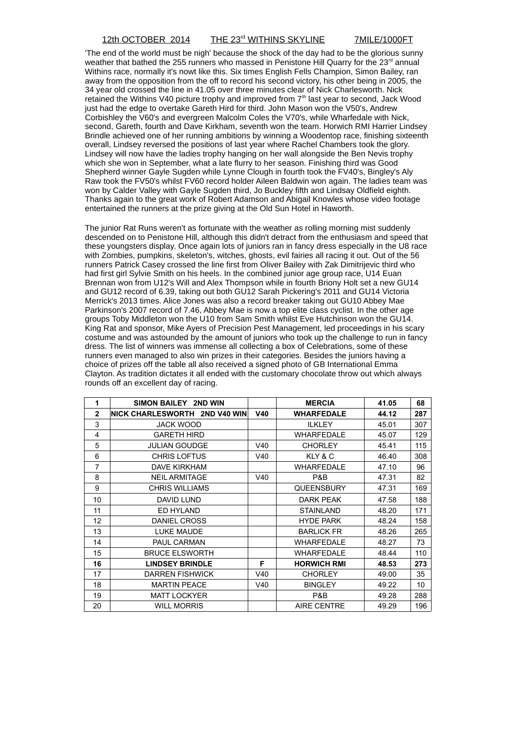## 12th OCTOBER 2014 THE 23<sup>rd</sup> WITHINS SKYLINE 7MILE/1000FT

'The end of the world must be nigh' because the shock of the day had to be the glorious sunny weather that bathed the 255 runners who massed in Penistone Hill Quarry for the  $23<sup>rd</sup>$  annual Withins race, normally it's nowt like this. Six times English Fells Champion, Simon Bailey, ran away from the opposition from the off to record his second victory, his other being in 2005, the 34 year old crossed the line in 41.05 over three minutes clear of Nick Charlesworth. Nick retained the Withins V40 picture trophy and improved from  $7<sup>th</sup>$  last year to second, Jack Wood just had the edge to overtake Gareth Hird for third. John Mason won the V50's, Andrew Corbishley the V60's and evergreen Malcolm Coles the V70's, while Wharfedale with Nick, second, Gareth, fourth and Dave Kirkham, seventh won the team. Horwich RMI Harrier Lindsey Brindle achieved one of her running ambitions by winning a Woodentop race, finishing sixteenth overall, Lindsey reversed the positions of last year where Rachel Chambers took the glory. Lindsey will now have the ladies trophy hanging on her wall alongside the Ben Nevis trophy which she won in September, what a late flurry to her season. Finishing third was Good Shepherd winner Gayle Sugden while Lynne Clough in fourth took the FV40's, Bingley's Aly Raw took the FV50's whilst FV60 record holder Aileen Baldwin won again. The ladies team was won by Calder Valley with Gayle Sugden third, Jo Buckley fifth and Lindsay Oldfield eighth. Thanks again to the great work of Robert Adamson and Abigail Knowles whose video footage entertained the runners at the prize giving at the Old Sun Hotel in Haworth.

The junior Rat Runs weren't as fortunate with the weather as rolling morning mist suddenly descended on to Penistone Hill, although this didn't detract from the enthusiasm and speed that these youngsters display. Once again lots of juniors ran in fancy dress especially in the U8 race with Zombies, pumpkins, skeleton's, witches, ghosts, evil fairies all racing it out. Out of the 56 runners Patrick Casey crossed the line first from Oliver Bailey with Zak Dimitrijevic third who had first girl Sylvie Smith on his heels. In the combined junior age group race, U14 Euan Brennan won from U12's Will and Alex Thompson while in fourth Briony Holt set a new GU14 and GU12 record of 6.39, taking out both GU12 Sarah Pickering's 2011 and GU14 Victoria Merrick's 2013 times. Alice Jones was also a record breaker taking out GU10 Abbey Mae Parkinson's 2007 record of 7.46, Abbey Mae is now a top elite class cyclist. In the other age groups Toby Middleton won the U10 from Sam Smith whilst Eve Hutchinson won the GU14. King Rat and sponsor, Mike Ayers of Precision Pest Management, led proceedings in his scary costume and was astounded by the amount of juniors who took up the challenge to run in fancy dress. The list of winners was immense all collecting a box of Celebrations, some of these runners even managed to also win prizes in their categories. Besides the juniors having a choice of prizes off the table all also received a signed photo of GB International Emma Clayton. As tradition dictates it all ended with the customary chocolate throw out which always rounds off an excellent day of racing.

| 1              | SIMON BAILEY 2ND WIN          |     | <b>MERCIA</b>      | 41.05 | 68  |
|----------------|-------------------------------|-----|--------------------|-------|-----|
| $\mathbf{2}$   | NICK CHARLESWORTH 2ND V40 WIN | V40 | <b>WHARFEDALE</b>  | 44.12 | 287 |
| 3              | <b>JACK WOOD</b>              |     | <b>ILKLEY</b>      | 45.01 | 307 |
| $\overline{4}$ | <b>GARETH HIRD</b>            |     | <b>WHARFEDALE</b>  | 45.07 | 129 |
| 5              | <b>JULIAN GOUDGE</b>          | V40 | <b>CHORLEY</b>     | 45.41 | 115 |
| 6              | <b>CHRIS LOFTUS</b>           | V40 | KLY & C            | 46.40 | 308 |
| 7              | DAVE KIRKHAM                  |     | <b>WHARFEDALE</b>  | 47.10 | 96  |
| 8              | <b>NEIL ARMITAGE</b>          | V40 | P&B                | 47.31 | 82  |
| 9              | <b>CHRIS WILLIAMS</b>         |     | <b>QUEENSBURY</b>  | 47.31 | 169 |
| 10             | <b>DAVID LUND</b>             |     | DARK PEAK          | 47.58 | 188 |
| 11             | ED HYLAND                     |     | <b>STAINLAND</b>   | 48.20 | 171 |
| 12             | <b>DANIEL CROSS</b>           |     | <b>HYDE PARK</b>   | 48.24 | 158 |
| 13             | <b>LUKE MAUDE</b>             |     | <b>BARLICK FR</b>  | 48.26 | 265 |
| 14             | <b>PAUL CARMAN</b>            |     | <b>WHARFEDALE</b>  | 48.27 | 73  |
| 15             | <b>BRUCE ELSWORTH</b>         |     | <b>WHARFEDALE</b>  | 48.44 | 110 |
| 16             | <b>LINDSEY BRINDLE</b>        | F   | <b>HORWICH RMI</b> | 48.53 | 273 |
| 17             | <b>DARREN FISHWICK</b>        | V40 | <b>CHORLEY</b>     | 49.00 | 35  |
| 18             | <b>MARTIN PEACE</b>           | V40 | <b>BINGLEY</b>     | 49.22 | 10  |
| 19             | <b>MATT LOCKYER</b>           |     | P&B                | 49.28 | 288 |
| 20             | <b>WILL MORRIS</b>            |     | <b>AIRE CENTRE</b> | 49.29 | 196 |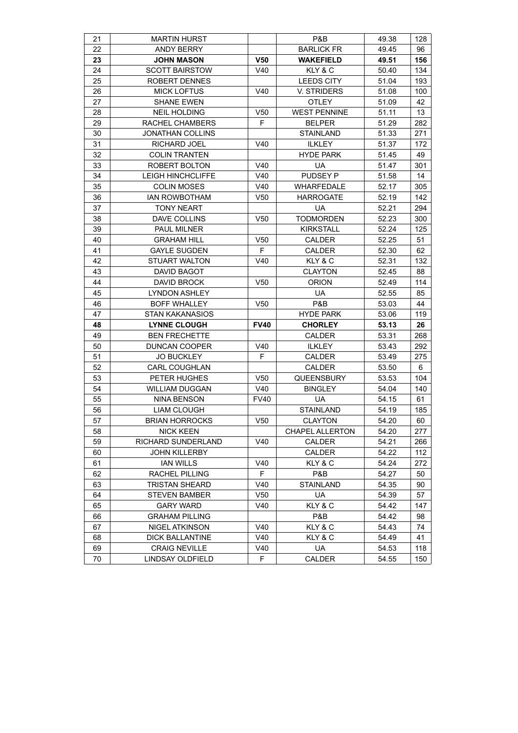| 21 | <b>MARTIN HURST</b>     |                 | P&B                    | 49.38 | 128 |
|----|-------------------------|-----------------|------------------------|-------|-----|
| 22 | ANDY BERRY              |                 | <b>BARLICK FR</b>      | 49.45 | 96  |
| 23 | <b>JOHN MASON</b>       | V50             | <b>WAKEFIELD</b>       | 49.51 | 156 |
| 24 | <b>SCOTT BAIRSTOW</b>   | V40             | KLY & C                | 50.40 | 134 |
| 25 | ROBERT DENNES           |                 | <b>LEEDS CITY</b>      | 51.04 | 193 |
| 26 | <b>MICK LOFTUS</b>      | V40             | <b>V. STRIDERS</b>     | 51.08 | 100 |
| 27 | <b>SHANE EWEN</b>       |                 | <b>OTLEY</b>           | 51.09 | 42  |
| 28 | <b>NEIL HOLDING</b>     | V50             | <b>WEST PENNINE</b>    | 51.11 | 13  |
| 29 | RACHEL CHAMBERS         | F               | <b>BELPER</b>          | 51.29 | 282 |
| 30 | <b>JONATHAN COLLINS</b> |                 | STAINLAND              | 51.33 | 271 |
| 31 | RICHARD JOEL            | V40             | <b>ILKLEY</b>          | 51.37 | 172 |
| 32 | <b>COLIN TRANTEN</b>    |                 | <b>HYDE PARK</b>       | 51.45 | 49  |
| 33 | ROBERT BOLTON           | V40             | UA                     | 51.47 | 301 |
| 34 | LEIGH HINCHCLIFFE       | V40             | <b>PUDSEY P</b>        | 51.58 | 14  |
| 35 | <b>COLIN MOSES</b>      | V40             | WHARFEDALE             | 52.17 | 305 |
| 36 | <b>IAN ROWBOTHAM</b>    | V50             | <b>HARROGATE</b>       | 52.19 | 142 |
| 37 | <b>TONY NEART</b>       |                 | <b>UA</b>              | 52.21 | 294 |
| 38 | DAVE COLLINS            | V <sub>50</sub> | <b>TODMORDEN</b>       | 52.23 | 300 |
| 39 | <b>PAUL MILNER</b>      |                 | <b>KIRKSTALL</b>       | 52.24 | 125 |
| 40 | <b>GRAHAM HILL</b>      | V50             | <b>CALDER</b>          | 52.25 | 51  |
| 41 | <b>GAYLE SUGDEN</b>     | F.              | <b>CALDER</b>          | 52.30 | 62  |
| 42 | <b>STUART WALTON</b>    | V40             | KLY & C                | 52.31 | 132 |
| 43 | DAVID BAGOT             |                 | <b>CLAYTON</b>         | 52.45 | 88  |
| 44 | <b>DAVID BROCK</b>      | V50             | <b>ORION</b>           | 52.49 | 114 |
| 45 | <b>LYNDON ASHLEY</b>    |                 | UA                     | 52.55 | 85  |
| 46 | <b>BOFF WHALLEY</b>     | V50             | P&B                    | 53.03 | 44  |
| 47 | STAN KAKANASIOS         |                 | <b>HYDE PARK</b>       | 53.06 | 119 |
| 48 | <b>LYNNE CLOUGH</b>     | <b>FV40</b>     | <b>CHORLEY</b>         | 53.13 | 26  |
| 49 | <b>BEN FRECHETTE</b>    |                 | <b>CALDER</b>          | 53.31 | 268 |
| 50 | <b>DUNCAN COOPER</b>    | V40             | <b>ILKLEY</b>          | 53.43 | 292 |
| 51 | <b>JO BUCKLEY</b>       | F               | CALDER                 | 53.49 | 275 |
| 52 | CARL COUGHLAN           |                 | CALDER                 | 53.50 | 6   |
| 53 | <b>PETER HUGHES</b>     | V50             | <b>QUEENSBURY</b>      | 53.53 | 104 |
| 54 | <b>WILLIAM DUGGAN</b>   | V40             | <b>BINGLEY</b>         | 54.04 | 140 |
| 55 | NINA BENSON             | FV40            | UA                     | 54.15 | 61  |
| 56 | <b>LIAM CLOUGH</b>      |                 | <b>STAINLAND</b>       | 54.19 | 185 |
| 57 | <b>BRIAN HORROCKS</b>   | V <sub>50</sub> | <b>CLAYTON</b>         | 54.20 | 60  |
| 58 | <b>NICK KEEN</b>        |                 | <b>CHAPEL ALLERTON</b> | 54.20 | 277 |
| 59 | RICHARD SUNDERLAND      | V40             | <b>CALDER</b>          | 54.21 | 266 |
| 60 | <b>JOHN KILLERBY</b>    |                 | CALDER                 | 54.22 | 112 |
| 61 | <b>IAN WILLS</b>        | V40             | KLY & C                | 54.24 | 272 |
| 62 | RACHEL PILLING          | F.              | P&B                    | 54.27 | 50  |
| 63 | TRISTAN SHEARD          | V40             | <b>STAINLAND</b>       | 54.35 | 90  |
| 64 | <b>STEVEN BAMBER</b>    | V <sub>50</sub> | UA                     | 54.39 | 57  |
| 65 | <b>GARY WARD</b>        | V40             | KLY & C                | 54.42 | 147 |
| 66 | <b>GRAHAM PILLING</b>   |                 | P&B                    | 54.42 | 98  |
| 67 | NIGEL ATKINSON          | V40             | KLY & C                | 54.43 | 74  |
| 68 | <b>DICK BALLANTINE</b>  | V40             | KLY & C                | 54.49 | 41  |
| 69 | <b>CRAIG NEVILLE</b>    | V40             | UA                     | 54.53 | 118 |
| 70 | LINDSAY OLDFIELD        | F               | CALDER                 | 54.55 | 150 |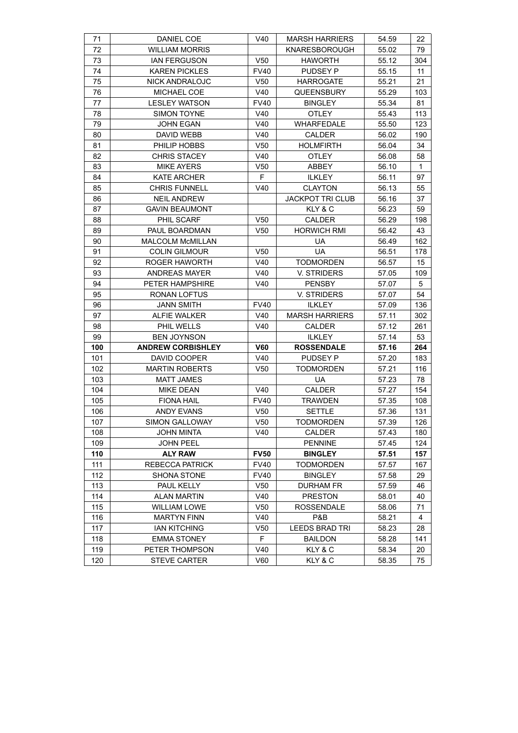| 71  | DANIEL COE               | V40             | <b>MARSH HARRIERS</b> | 54.59 | 22           |
|-----|--------------------------|-----------------|-----------------------|-------|--------------|
| 72  | <b>WILLIAM MORRIS</b>    |                 | KNARESBOROUGH         | 55.02 | 79           |
| 73  | <b>IAN FERGUSON</b>      | V <sub>50</sub> | <b>HAWORTH</b>        | 55.12 | 304          |
| 74  | <b>KAREN PICKLES</b>     | <b>FV40</b>     | PUDSEY P              | 55.15 | 11           |
| 75  | <b>NICK ANDRALOJC</b>    | V <sub>50</sub> | <b>HARROGATE</b>      | 55.21 | 21           |
| 76  | MICHAEL COE              | V40             | <b>QUEENSBURY</b>     | 55.29 | 103          |
| 77  | <b>LESLEY WATSON</b>     | <b>FV40</b>     | <b>BINGLEY</b>        | 55.34 | 81           |
| 78  | <b>SIMON TOYNE</b>       | V40             | <b>OTLEY</b>          | 55.43 | 113          |
| 79  | JOHN EGAN                | V40             | <b>WHARFEDALE</b>     | 55.50 | 123          |
| 80  | DAVID WEBB               | V40             | <b>CALDER</b>         | 56.02 | 190          |
| 81  | PHILIP HOBBS             | V <sub>50</sub> | <b>HOLMFIRTH</b>      | 56.04 | 34           |
| 82  | <b>CHRIS STACEY</b>      | V40             | <b>OTLEY</b>          | 56.08 | 58           |
| 83  | <b>MIKE AYERS</b>        | V50             | <b>ABBEY</b>          | 56.10 | $\mathbf{1}$ |
| 84  | <b>KATE ARCHER</b>       | F.              | <b>ILKLEY</b>         | 56.11 | 97           |
| 85  | <b>CHRIS FUNNELL</b>     | V40             | <b>CLAYTON</b>        | 56.13 | 55           |
| 86  | <b>NEIL ANDREW</b>       |                 | JACKPOT TRI CLUB      | 56.16 | 37           |
| 87  | <b>GAVIN BEAUMONT</b>    |                 | KLY & C               | 56.23 | 59           |
| 88  | <b>PHIL SCARF</b>        | V <sub>50</sub> | <b>CALDER</b>         | 56.29 | 198          |
| 89  | PAUL BOARDMAN            | V50             | <b>HORWICH RMI</b>    | 56.42 | 43           |
| 90  | <b>MALCOLM McMILLAN</b>  |                 | UA                    | 56.49 | 162          |
| 91  | <b>COLIN GILMOUR</b>     | V50             | UA                    | 56.51 | 178          |
| 92  | ROGER HAWORTH            | V40             | TODMORDEN             | 56.57 | 15           |
| 93  | ANDREAS MAYER            | V40             | V. STRIDERS           | 57.05 | 109          |
| 94  | PETER HAMPSHIRE          | V40             | <b>PENSBY</b>         | 57.07 | 5            |
| 95  | RONAN LOFTUS             |                 | <b>V. STRIDERS</b>    | 57.07 | 54           |
| 96  | <b>JANN SMITH</b>        | <b>FV40</b>     | <b>ILKLEY</b>         | 57.09 | 136          |
| 97  | <b>ALFIE WALKER</b>      | V40             | <b>MARSH HARRIERS</b> | 57.11 | 302          |
| 98  | PHIL WELLS               | V40             | CALDER                | 57.12 | 261          |
| 99  | <b>BEN JOYNSON</b>       |                 | ILKLEY                | 57.14 | 53           |
| 100 | <b>ANDREW CORBISHLEY</b> | V60             | <b>ROSSENDALE</b>     | 57.16 | 264          |
| 101 | DAVID COOPER             | V40             | PUDSEY P              | 57.20 | 183          |
| 102 | <b>MARTIN ROBERTS</b>    | V50             | <b>TODMORDEN</b>      | 57.21 | 116          |
| 103 | <b>MATT JAMES</b>        |                 | UA                    | 57.23 | 78           |
| 104 | <b>MIKE DEAN</b>         | V40             | <b>CALDER</b>         | 57.27 | 154          |
| 105 | <b>FIONA HAIL</b>        | <b>FV40</b>     | <b>TRAWDEN</b>        | 57.35 | 108          |
| 106 | <b>ANDY EVANS</b>        | V <sub>50</sub> | <b>SETTLE</b>         | 57.36 | 131          |
| 107 | SIMON GALLOWAY           | V <sub>50</sub> | <b>TODMORDEN</b>      | 57.39 | 126          |
| 108 | <b>JOHN MINTA</b>        | V40             | CALDER                | 57.43 | 180          |
| 109 | <b>JOHN PEEL</b>         |                 | <b>PENNINE</b>        | 57.45 | 124          |
| 110 | <b>ALY RAW</b>           | <b>FV50</b>     | <b>BINGLEY</b>        | 57.51 | 157          |
| 111 | REBECCA PATRICK          | <b>FV40</b>     | <b>TODMORDEN</b>      | 57.57 | 167          |
| 112 | <b>SHONA STONE</b>       | <b>FV40</b>     | <b>BINGLEY</b>        | 57.58 | 29           |
| 113 | PAUL KELLY               | V <sub>50</sub> | <b>DURHAM FR</b>      | 57.59 | 46           |
| 114 | <b>ALAN MARTIN</b>       | V40             | <b>PRESTON</b>        | 58.01 | 40           |
| 115 | <b>WILLIAM LOWE</b>      | V <sub>50</sub> | ROSSENDALE            | 58.06 | 71           |
| 116 | <b>MARTYN FINN</b>       | V40             | P&B                   | 58.21 | 4            |
| 117 | <b>IAN KITCHING</b>      | V <sub>50</sub> | <b>LEEDS BRAD TRI</b> | 58.23 | 28           |
| 118 | EMMA STONEY              | F.              | <b>BAILDON</b>        | 58.28 | 141          |
| 119 | PETER THOMPSON           | V40             | KLY & C               | 58.34 | 20           |
| 120 | <b>STEVE CARTER</b>      | V60             | KLY & C               | 58.35 | 75           |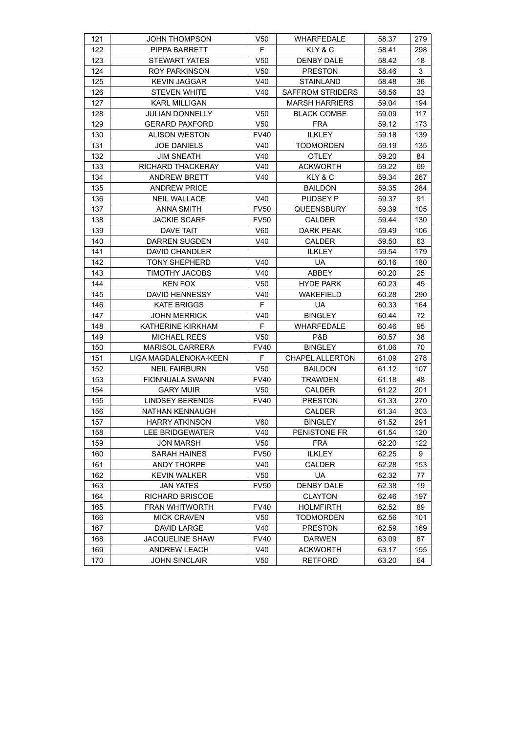| 121 | JOHN THOMPSON          | V50             | <b>WHARFEDALE</b>       | 58.37 | 279 |
|-----|------------------------|-----------------|-------------------------|-------|-----|
| 122 | PIPPA BARRETT          | F.              | KLY & C                 | 58.41 | 298 |
| 123 | <b>STEWART YATES</b>   | V <sub>50</sub> | <b>DENBY DALE</b>       | 58.42 | 18  |
| 124 | ROY PARKINSON          | V <sub>50</sub> | <b>PRESTON</b>          | 58.46 | 3   |
| 125 | <b>KEVIN JAGGAR</b>    | V40             | <b>STAINLAND</b>        | 58.48 | 36  |
| 126 | <b>STEVEN WHITE</b>    | V40             | <b>SAFFROM STRIDERS</b> | 58.56 | 33  |
| 127 | KARL MILLIGAN          |                 | <b>MARSH HARRIERS</b>   | 59.04 | 194 |
| 128 | JULIAN DONNELLY        | V50             | <b>BLACK COMBE</b>      | 59.09 | 117 |
| 129 | <b>GERARD PAXFORD</b>  | V <sub>50</sub> | <b>FRA</b>              | 59.12 | 173 |
| 130 | <b>ALISON WESTON</b>   | <b>FV40</b>     | <b>ILKLEY</b>           | 59.18 | 139 |
| 131 | <b>JOE DANIELS</b>     | V40             | <b>TODMORDEN</b>        | 59.19 | 135 |
| 132 | <b>JIM SNEATH</b>      | V40             | <b>OTLEY</b>            | 59.20 | 84  |
| 133 | RICHARD THACKERAY      | V40             | <b>ACKWORTH</b>         | 59.22 | 69  |
| 134 | <b>ANDREW BRETT</b>    | V40             | KLY & C                 | 59.34 | 267 |
| 135 | <b>ANDREW PRICE</b>    |                 | <b>BAILDON</b>          | 59.35 | 284 |
| 136 | <b>NEIL WALLACE</b>    | V40             | PUDSEY P                | 59.37 | 91  |
| 137 | <b>ANNA SMITH</b>      | <b>FV50</b>     | QUEENSBURY              | 59.39 | 105 |
| 138 | <b>JACKIE SCARF</b>    | <b>FV50</b>     | CALDER                  | 59.44 | 130 |
| 139 | <b>DAVE TAIT</b>       | V60             | <b>DARK PEAK</b>        | 59.49 | 106 |
| 140 | <b>DARREN SUGDEN</b>   | V40             | <b>CALDER</b>           | 59.50 | 63  |
| 141 | DAVID CHANDLER         |                 | <b>ILKLEY</b>           | 59.54 | 179 |
| 142 | <b>TONY SHEPHERD</b>   | V40             | <b>UA</b>               | 60.16 | 180 |
| 143 | <b>TIMOTHY JACOBS</b>  | V40             | <b>ABBEY</b>            | 60.20 | 25  |
| 144 | KEN FOX                | V50             | <b>HYDE PARK</b>        | 60.23 | 45  |
| 145 | DAVID HENNESSY         | V40             | <b>WAKEFIELD</b>        | 60.28 | 290 |
| 146 | <b>KATE BRIGGS</b>     | F.              | UA                      | 60.33 | 164 |
| 147 | <b>JOHN MERRICK</b>    | V40             | <b>BINGLEY</b>          | 60.44 | 72  |
| 148 | KATHERINE KIRKHAM      | F.              | <b>WHARFEDALE</b>       | 60.46 | 95  |
| 149 | <b>MICHAEL REES</b>    | V <sub>50</sub> | P&B                     | 60.57 | 38  |
| 150 | <b>MARISOL CARRERA</b> | <b>FV40</b>     | <b>BINGLEY</b>          | 61.06 | 70  |
| 151 | LIGA MAGDALENOKA-KEEN  | F               | <b>CHAPEL ALLERTON</b>  | 61.09 | 278 |
| 152 | <b>NEIL FAIRBURN</b>   | V50             | <b>BAILDON</b>          | 61.12 | 107 |
| 153 | FIONNUALA SWANN        | <b>FV40</b>     | <b>TRAWDEN</b>          | 61.18 | 48  |
| 154 | <b>GARY MUIR</b>       | V50             | CALDER                  | 61.22 | 201 |
| 155 | <b>LINDSEY BERENDS</b> | FV40            | <b>PRESTON</b>          | 61.33 | 270 |
| 156 | NATHAN KENNAUGH        |                 | CALDER                  | 61.34 | 303 |
| 157 | <b>HARRY ATKINSON</b>  | V60             | <b>BINGLEY</b>          | 61.52 | 291 |
| 158 | LEE BRIDGEWATER        | V40             | PENISTONE FR            | 61.54 | 120 |
| 159 | <b>JON MARSH</b>       | V <sub>50</sub> | <b>FRA</b>              | 62.20 | 122 |
| 160 | <b>SARAH HAINES</b>    | <b>FV50</b>     | <b>ILKLEY</b>           | 62.25 | 9   |
| 161 | ANDY THORPE            | V40             | CALDER                  | 62.28 | 153 |
| 162 | <b>KEVIN WALKER</b>    | V50             | UA                      | 62.32 | 77  |
| 163 | <b>JAN YATES</b>       | <b>FV50</b>     | <b>DENBY DALE</b>       | 62.38 | 19  |
| 164 | RICHARD BRISCOE        |                 | <b>CLAYTON</b>          | 62.46 | 197 |
| 165 | FRAN WHITWORTH         | <b>FV40</b>     | <b>HOLMFIRTH</b>        | 62.52 | 89  |
| 166 | <b>MICK CRAVEN</b>     | V <sub>50</sub> | <b>TODMORDEN</b>        | 62.56 | 101 |
| 167 | DAVID LARGE            | V40             | <b>PRESTON</b>          | 62.59 | 169 |
| 168 | <b>JACQUELINE SHAW</b> | <b>FV40</b>     | <b>DARWEN</b>           | 63.09 | 87  |
| 169 | <b>ANDREW LEACH</b>    | V40             | <b>ACKWORTH</b>         | 63.17 | 155 |
| 170 | <b>JOHN SINCLAIR</b>   | V <sub>50</sub> | <b>RETFORD</b>          | 63.20 | 64  |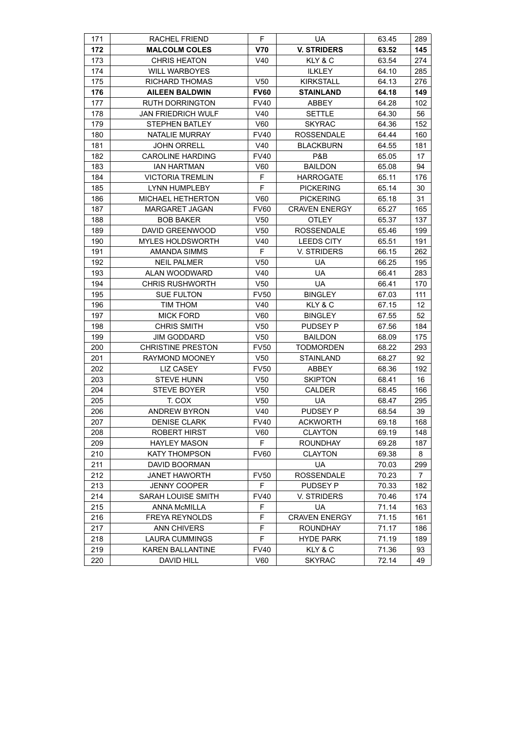| 171 | RACHEL FRIEND             | F               | UA                   | 63.45 | 289 |
|-----|---------------------------|-----------------|----------------------|-------|-----|
| 172 | <b>MALCOLM COLES</b>      | <b>V70</b>      | <b>V. STRIDERS</b>   | 63.52 | 145 |
| 173 | <b>CHRIS HEATON</b>       | V40             | KLY & C              | 63.54 | 274 |
| 174 | <b>WILL WARBOYES</b>      |                 | <b>ILKLEY</b>        | 64.10 | 285 |
| 175 | <b>RICHARD THOMAS</b>     | V <sub>50</sub> | <b>KIRKSTALL</b>     | 64.13 | 276 |
| 176 | <b>AILEEN BALDWIN</b>     | <b>FV60</b>     | <b>STAINLAND</b>     | 64.18 | 149 |
| 177 | <b>RUTH DORRINGTON</b>    | <b>FV40</b>     | ABBEY                | 64.28 | 102 |
| 178 | <b>JAN FRIEDRICH WULF</b> | V40             | <b>SETTLE</b>        | 64.30 | 56  |
| 179 | STEPHEN BATLEY            | V60             | <b>SKYRAC</b>        | 64.36 | 152 |
| 180 | NATALIE MURRAY            | <b>FV40</b>     | <b>ROSSENDALE</b>    | 64.44 | 160 |
| 181 | JOHN ORRELL               | V40             | <b>BLACKBURN</b>     | 64.55 | 181 |
| 182 | <b>CAROLINE HARDING</b>   | <b>FV40</b>     | P&B                  | 65.05 | 17  |
| 183 | IAN HARTMAN               | V60             | <b>BAILDON</b>       | 65.08 | 94  |
| 184 | <b>VICTORIA TREMLIN</b>   | F               | <b>HARROGATE</b>     | 65.11 | 176 |
| 185 | LYNN HUMPLEBY             | F               | <b>PICKERING</b>     | 65.14 | 30  |
| 186 | <b>MICHAEL HETHERTON</b>  | V60             | <b>PICKERING</b>     | 65.18 | 31  |
| 187 | <b>MARGARET JAGAN</b>     | <b>FV60</b>     | <b>CRAVEN ENERGY</b> | 65.27 | 165 |
| 188 | <b>BOB BAKER</b>          | V50             | <b>OTLEY</b>         | 65.37 | 137 |
| 189 | DAVID GREENWOOD           | V <sub>50</sub> | <b>ROSSENDALE</b>    | 65.46 | 199 |
| 190 | <b>MYLES HOLDSWORTH</b>   | V40             | <b>LEEDS CITY</b>    | 65.51 | 191 |
| 191 | AMANDA SIMMS              | F               | <b>V. STRIDERS</b>   | 66.15 | 262 |
| 192 | <b>NEIL PALMER</b>        | V50             | UA                   | 66.25 | 195 |
| 193 | ALAN WOODWARD             | V40             | UA                   | 66.41 | 283 |
| 194 | <b>CHRIS RUSHWORTH</b>    | V50             | UA                   | 66.41 | 170 |
| 195 | SUE FULTON                | <b>FV50</b>     | <b>BINGLEY</b>       | 67.03 | 111 |
| 196 | NOHT MIT                  | V40             | KLY & C              | 67.15 | 12  |
| 197 | <b>MICK FORD</b>          | V60             | <b>BINGLEY</b>       | 67.55 | 52  |
| 198 | <b>CHRIS SMITH</b>        | V <sub>50</sub> | PUDSEY P             | 67.56 | 184 |
| 199 | <b>JIM GODDARD</b>        | V <sub>50</sub> | <b>BAILDON</b>       | 68.09 | 175 |
| 200 | <b>CHRISTINE PRESTON</b>  | <b>FV50</b>     | <b>TODMORDEN</b>     | 68.22 | 293 |
| 201 | <b>RAYMOND MOONEY</b>     | V50             | <b>STAINLAND</b>     | 68.27 | 92  |
| 202 | <b>LIZ CASEY</b>          | <b>FV50</b>     | ABBEY                | 68.36 | 192 |
| 203 | <b>STEVE HUNN</b>         | V <sub>50</sub> | <b>SKIPTON</b>       | 68.41 | 16  |
| 204 | <b>STEVE BOYER</b>        | V <sub>50</sub> | CALDER               | 68.45 | 166 |
| 205 | T. COX                    | V <sub>50</sub> | <b>UA</b>            | 68.47 | 295 |
| 206 | <b>ANDREW BYRON</b>       | V40             | <b>PUDSEY P</b>      | 68.54 | 39  |
| 207 | <b>DENISE CLARK</b>       | <b>FV40</b>     | <b>ACKWORTH</b>      | 69.18 | 168 |
| 208 | <b>ROBERT HIRST</b>       | V60             | <b>CLAYTON</b>       | 69.19 | 148 |
| 209 | HAYLEY MASON              | F               | <b>ROUNDHAY</b>      | 69.28 | 187 |
| 210 | <b>KATY THOMPSON</b>      | <b>FV60</b>     | <b>CLAYTON</b>       | 69.38 | 8   |
| 211 | DAVID BOORMAN             |                 | UA                   | 70.03 | 299 |
| 212 | <b>JANET HAWORTH</b>      | <b>FV50</b>     | <b>ROSSENDALE</b>    | 70.23 | 7   |
| 213 | <b>JENNY COOPER</b>       | F               | PUDSEY P             | 70.33 | 182 |
| 214 | SARAH LOUISE SMITH        | <b>FV40</b>     | V. STRIDERS          | 70.46 | 174 |
| 215 | ANNA McMILLA              | F               | UA                   | 71.14 | 163 |
| 216 | <b>FREYA REYNOLDS</b>     | F               | <b>CRAVEN ENERGY</b> | 71.15 | 161 |
| 217 | <b>ANN CHIVERS</b>        | F               | <b>ROUNDHAY</b>      | 71.17 | 186 |
| 218 | LAURA CUMMINGS            | F               | <b>HYDE PARK</b>     | 71.19 | 189 |
| 219 | KAREN BALLANTINE          | <b>FV40</b>     | KLY & C              | 71.36 | 93  |
| 220 | DAVID HILL                | V60             | <b>SKYRAC</b>        | 72.14 | 49  |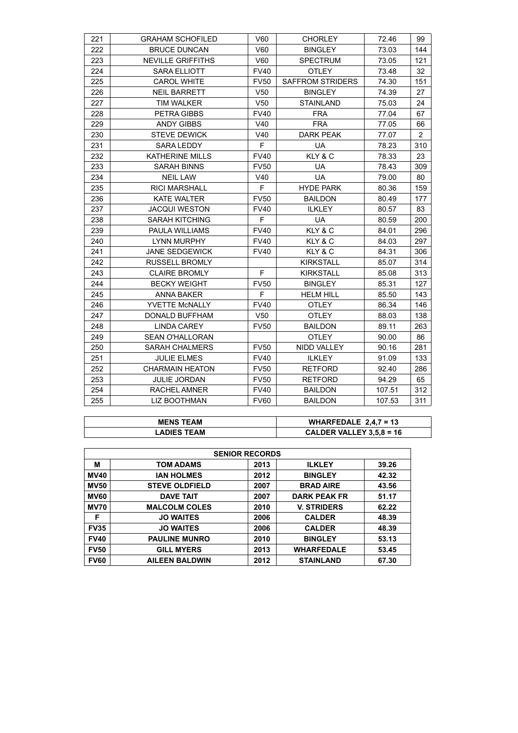| 221 | <b>GRAHAM SCHOFILED</b>  | V60             | <b>CHORLEY</b>          | 72.46  | 99  |
|-----|--------------------------|-----------------|-------------------------|--------|-----|
| 222 | <b>BRUCE DUNCAN</b>      | V60             | <b>BINGLEY</b>          | 73.03  | 144 |
| 223 | <b>NEVILLE GRIFFITHS</b> | V60             | <b>SPECTRUM</b>         | 73.05  | 121 |
| 224 | <b>SARA ELLIOTT</b>      | <b>FV40</b>     | <b>OTLEY</b>            | 73.48  | 32  |
| 225 | <b>CAROL WHITE</b>       | <b>FV50</b>     | <b>SAFFROM STRIDERS</b> | 74.30  | 151 |
| 226 | <b>NEIL BARRETT</b>      | V <sub>50</sub> | <b>BINGLEY</b>          | 74.39  | 27  |
| 227 | <b>TIM WALKER</b>        | V <sub>50</sub> | <b>STAINLAND</b>        | 75.03  | 24  |
| 228 | PETRA GIBBS              | <b>FV40</b>     | <b>FRA</b>              | 77.04  | 67  |
| 229 | <b>ANDY GIBBS</b>        | V40             | <b>FRA</b>              | 77.05  | 66  |
| 230 | <b>STEVE DEWICK</b>      | V40             | <b>DARK PEAK</b>        | 77.07  | 2   |
| 231 | <b>SARA LEDDY</b>        | F.              | <b>UA</b>               | 78.23  | 310 |
| 232 | <b>KATHERINE MILLS</b>   | <b>FV40</b>     | KLY & C                 | 78.33  | 23  |
| 233 | <b>SARAH BINNS</b>       | <b>FV50</b>     | UA                      | 78.43  | 309 |
| 234 | <b>NEIL LAW</b>          | V40             | <b>UA</b>               | 79.00  | 80  |
| 235 | <b>RICI MARSHALL</b>     | F               | <b>HYDE PARK</b>        | 80.36  | 159 |
| 236 | <b>KATE WALTER</b>       | <b>FV50</b>     | <b>BAILDON</b>          | 80.49  | 177 |
| 237 | <b>JACQUI WESTON</b>     | <b>FV40</b>     | <b>ILKLEY</b>           | 80.57  | 83  |
| 238 | <b>SARAH KITCHING</b>    | F               | UA                      | 80.59  | 200 |
| 239 | PAULA WILLIAMS           | <b>FV40</b>     | KLY & C                 | 84.01  | 296 |
| 240 | LYNN MURPHY              | <b>FV40</b>     | KLY & C                 | 84.03  | 297 |
| 241 | <b>JANE SEDGEWICK</b>    | <b>FV40</b>     | KLY & C                 | 84.31  | 306 |
| 242 | <b>RUSSELL BROMLY</b>    |                 | <b>KIRKSTALL</b>        | 85.07  | 314 |
| 243 | <b>CLAIRE BROMLY</b>     | F               | <b>KIRKSTALL</b>        | 85.08  | 313 |
| 244 | <b>BECKY WEIGHT</b>      | <b>FV50</b>     | <b>BINGLEY</b>          | 85.31  | 127 |
| 245 | <b>ANNA BAKER</b>        | F               | <b>HELM HILL</b>        | 85.50  | 143 |
| 246 | YVETTE McNALLY           | <b>FV40</b>     | <b>OTLEY</b>            | 86.34  | 146 |
| 247 | <b>DONALD BUFFHAM</b>    | V <sub>50</sub> | <b>OTLEY</b>            | 88.03  | 138 |
| 248 | <b>LINDA CAREY</b>       | <b>FV50</b>     | <b>BAILDON</b>          | 89.11  | 263 |
| 249 | <b>SEAN O'HALLORAN</b>   |                 | <b>OTLEY</b>            | 90.00  | 86  |
| 250 | <b>SARAH CHALMERS</b>    | <b>FV50</b>     | NIDD VALLEY             | 90.16  | 281 |
| 251 | <b>JULIE ELMES</b>       | <b>FV40</b>     | <b>ILKLEY</b>           | 91.09  | 133 |
| 252 | <b>CHARMAIN HEATON</b>   | <b>FV50</b>     | <b>RETFORD</b>          | 92.40  | 286 |
| 253 | JULIE JORDAN             | <b>FV50</b>     | <b>RETFORD</b>          | 94.29  | 65  |
| 254 | <b>RACHEL AMNER</b>      | <b>FV40</b>     | <b>BAILDON</b>          | 107.51 | 312 |
| 255 | <b>LIZ BOOTHMAN</b>      | <b>FV60</b>     | <b>BAILDON</b>          | 107.53 | 311 |

| <b>MENS TEAM</b> | WHARFEDALE $2,4,7 = 13$    |
|------------------|----------------------------|
| LADIES TEAM      | CALDER VALLEY $3,5,8 = 16$ |

|             | <b>SENIOR RECORDS</b> |      |                     |       |  |  |
|-------------|-----------------------|------|---------------------|-------|--|--|
| М           | <b>TOM ADAMS</b>      | 2013 | <b>ILKLEY</b>       | 39.26 |  |  |
| <b>MV40</b> | <b>IAN HOLMES</b>     | 2012 | <b>BINGLEY</b>      | 42.32 |  |  |
| <b>MV50</b> | <b>STEVE OLDFIELD</b> | 2007 | <b>BRAD AIRE</b>    | 43.56 |  |  |
| <b>MV60</b> | <b>DAVE TAIT</b>      | 2007 | <b>DARK PEAK FR</b> | 51.17 |  |  |
| <b>MV70</b> | <b>MALCOLM COLES</b>  | 2010 | <b>V. STRIDERS</b>  | 62.22 |  |  |
| F           | <b>JO WAITES</b>      | 2006 | <b>CALDER</b>       | 48.39 |  |  |
| <b>FV35</b> | <b>JO WAITES</b>      | 2006 | <b>CALDER</b>       | 48.39 |  |  |
| <b>FV40</b> | <b>PAULINE MUNRO</b>  | 2010 | <b>BINGLEY</b>      | 53.13 |  |  |
| <b>FV50</b> | <b>GILL MYERS</b>     | 2013 | <b>WHARFEDALE</b>   | 53.45 |  |  |
| <b>FV60</b> | <b>AILEEN BALDWIN</b> | 2012 | <b>STAINLAND</b>    | 67.30 |  |  |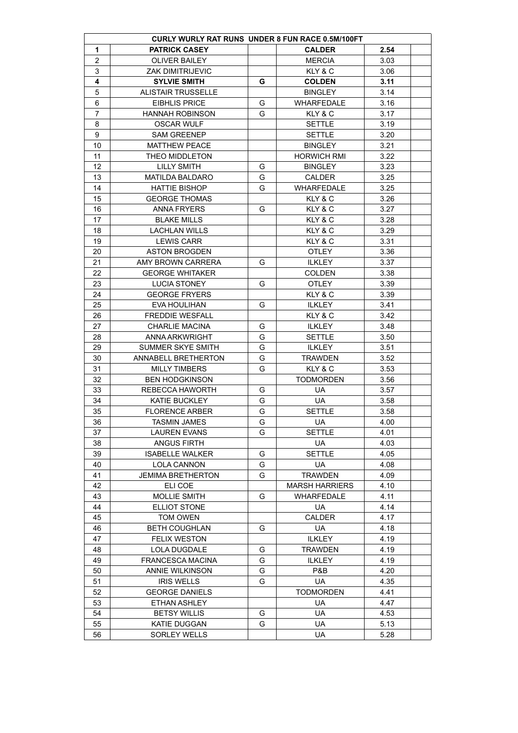| <b>CURLY WURLY RAT RUNS UNDER 8 FUN RACE 0.5M/100FT</b> |                                |   |                                            |              |
|---------------------------------------------------------|--------------------------------|---|--------------------------------------------|--------------|
| 1                                                       | <b>PATRICK CASEY</b>           |   | <b>CALDER</b>                              | 2.54         |
| 2                                                       | OLIVER BAILEY                  |   | <b>MERCIA</b>                              | 3.03         |
| 3                                                       | <b>ZAK DIMITRIJEVIC</b>        |   | KLY & C                                    | 3.06         |
| 4                                                       | <b>SYLVIE SMITH</b>            | G | <b>COLDEN</b>                              | 3.11         |
| 5                                                       | <b>ALISTAIR TRUSSELLE</b>      |   | <b>BINGLEY</b>                             | 3.14         |
| 6                                                       | <b>EIBHLIS PRICE</b>           | G | <b>WHARFEDALE</b>                          | 3.16         |
| 7                                                       | <b>HANNAH ROBINSON</b>         | G | KLY & C                                    | 3.17         |
| 8                                                       | <b>OSCAR WULF</b>              |   | <b>SETTLE</b>                              | 3.19         |
| 9                                                       | <b>SAM GREENEP</b>             |   | <b>SETTLE</b>                              | 3.20         |
| 10                                                      | <b>MATTHEW PEACE</b>           |   | <b>BINGLEY</b>                             | 3.21         |
| 11                                                      | THEO MIDDLETON                 |   | <b>HORWICH RMI</b>                         | 3.22         |
| 12                                                      | <b>LILLY SMITH</b>             | G | <b>BINGLEY</b>                             | 3.23         |
| 13                                                      | <b>MATILDA BALDARO</b>         | G | <b>CALDER</b>                              | 3.25         |
| 14                                                      | <b>HATTIE BISHOP</b>           | G | <b>WHARFEDALE</b>                          | 3.25         |
| 15                                                      | <b>GEORGE THOMAS</b>           |   | KLY & C                                    | 3.26         |
| 16                                                      | <b>ANNA FRYERS</b>             | G | KLY & C                                    | 3.27         |
| 17                                                      | <b>BLAKE MILLS</b>             |   | KLY & C                                    | 3.28         |
| 18                                                      | <b>LACHLAN WILLS</b>           |   | KLY & C                                    | 3.29         |
| 19                                                      | <b>LEWIS CARR</b>              |   | KLY & C                                    | 3.31         |
| 20                                                      | <b>ASTON BROGDEN</b>           |   | <b>OTLEY</b>                               | 3.36         |
| 21                                                      | AMY BROWN CARRERA              | G | <b>ILKLEY</b>                              | 3.37         |
| 22                                                      | <b>GEORGE WHITAKER</b>         |   | <b>COLDEN</b>                              | 3.38         |
| 23                                                      | <b>LUCIA STONEY</b>            | G | <b>OTLEY</b>                               | 3.39         |
| 24                                                      | <b>GEORGE FRYERS</b>           |   | KLY & C                                    | 3.39         |
| 25                                                      | EVA HOULIHAN                   | G | <b>ILKLEY</b>                              | 3.41         |
| 26                                                      | <b>FREDDIE WESFALL</b>         |   | KLY & C                                    | 3.42         |
| 27                                                      | <b>CHARLIE MACINA</b>          | G | <b>ILKLEY</b>                              | 3.48         |
| 28                                                      | ANNA ARKWRIGHT                 | G | <b>SETTLE</b>                              | 3.50         |
| 29                                                      | SUMMER SKYE SMITH              | G | <b>ILKLEY</b>                              | 3.51         |
| 30                                                      | ANNABELL BRETHERTON            | G | <b>TRAWDEN</b>                             | 3.52         |
| 31                                                      | <b>MILLY TIMBERS</b>           | G | KLY & C                                    | 3.53         |
| 32                                                      | <b>BEN HODGKINSON</b>          |   | <b>TODMORDEN</b>                           | 3.56         |
| 33                                                      | REBECCA HAWORTH                | G | UA                                         | 3.57         |
| 34                                                      | KATIE BUCKLEY                  | G | UA                                         | 3.58         |
| 35                                                      | <b>FLORENCE ARBER</b>          | G | <b>SETTLE</b>                              | 3.58         |
| 36                                                      | <b>TASMIN JAMES</b>            | G | UA                                         | 4.00         |
| 37                                                      | <b>LAUREN EVANS</b>            | G | <b>SETTLE</b>                              | 4.01         |
| 38                                                      | <b>ANGUS FIRTH</b>             |   | UA                                         | 4.03         |
| 39                                                      | <b>ISABELLE WALKER</b>         | G | <b>SETTLE</b>                              | 4.05         |
| 40                                                      | LOLA CANNON                    | G | UA                                         | 4.08         |
| 41                                                      | <b>JEMIMA BRETHERTON</b>       | G | <b>TRAWDEN</b>                             | 4.09         |
| 42<br>43                                                | ELI COE<br><b>MOLLIE SMITH</b> | G | <b>MARSH HARRIERS</b><br><b>WHARFEDALE</b> | 4.10<br>4.11 |
| 44                                                      | ELLIOT STONE                   |   | UA                                         | 4.14         |
| 45                                                      | <b>TOM OWEN</b>                |   | CALDER                                     | 4.17         |
| 46                                                      | <b>BETH COUGHLAN</b>           | G | UA                                         | 4.18         |
| 47                                                      | <b>FELIX WESTON</b>            |   | <b>ILKLEY</b>                              | 4.19         |
| 48                                                      | <b>LOLA DUGDALE</b>            | G | <b>TRAWDEN</b>                             | 4.19         |
| 49                                                      | <b>FRANCESCA MACINA</b>        | G | <b>ILKLEY</b>                              | 4.19         |
| 50                                                      | <b>ANNIE WILKINSON</b>         | G | P&B                                        | 4.20         |
| 51                                                      | <b>IRIS WELLS</b>              | G | UA                                         | 4.35         |
| 52                                                      | <b>GEORGE DANIELS</b>          |   | <b>TODMORDEN</b>                           | 4.41         |
| 53                                                      | ETHAN ASHLEY                   |   | UA                                         | 4.47         |
| 54                                                      | <b>BETSY WILLIS</b>            | G | UA                                         | 4.53         |
| 55                                                      | KATIE DUGGAN                   | G | UA                                         | 5.13         |
| 56                                                      | <b>SORLEY WELLS</b>            |   | UA                                         | 5.28         |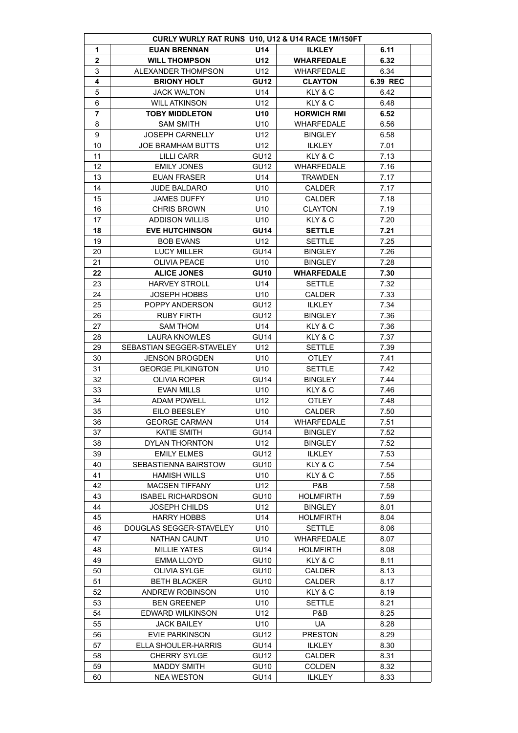| CURLY WURLY RAT RUNS U10, U12 & U14 RACE 1M/150FT |                                    |                  |                    |              |  |  |
|---------------------------------------------------|------------------------------------|------------------|--------------------|--------------|--|--|
| 1                                                 | <b>EUAN BRENNAN</b>                | U14              | <b>ILKLEY</b>      | 6.11         |  |  |
| $\mathbf{2}$                                      | <b>WILL THOMPSON</b>               | U12              | <b>WHARFEDALE</b>  | 6.32         |  |  |
| 3                                                 | ALEXANDER THOMPSON                 | U12              | <b>WHARFEDALE</b>  | 6.34         |  |  |
| 4                                                 | <b>BRIONY HOLT</b>                 | <b>GU12</b>      | <b>CLAYTON</b>     | 6.39 REC     |  |  |
| 5                                                 | <b>JACK WALTON</b>                 | U14              | KLY & C            | 6.42         |  |  |
| 6                                                 | WILL ATKINSON                      | U12              | KLY & C            | 6.48         |  |  |
| 7                                                 | <b>TOBY MIDDLETON</b>              | U <sub>10</sub>  | <b>HORWICH RMI</b> | 6.52         |  |  |
| 8                                                 | <b>SAM SMITH</b>                   | U10              | <b>WHARFEDALE</b>  | 6.56         |  |  |
| 9                                                 | <b>JOSEPH CARNELLY</b>             | U12              | <b>BINGLEY</b>     | 6.58         |  |  |
| 10                                                | <b>JOE BRAMHAM BUTTS</b>           | U12              | ILKLEY             | 7.01         |  |  |
| 11                                                | <b>LILLI CARR</b>                  | <b>GU12</b>      | KLY & C            | 7.13         |  |  |
| 12                                                | <b>EMILY JONES</b>                 | <b>GU12</b>      | <b>WHARFEDALE</b>  | 7.16         |  |  |
|                                                   |                                    |                  |                    |              |  |  |
| 13<br>14                                          | EUAN FRASER<br><b>JUDE BALDARO</b> | U14              | TRAWDEN<br>CALDER  | 7.17<br>7.17 |  |  |
|                                                   |                                    | U10              |                    |              |  |  |
| 15                                                | <b>JAMES DUFFY</b>                 | U10              | CALDER             | 7.18         |  |  |
| 16                                                | <b>CHRIS BROWN</b>                 | U10              | <b>CLAYTON</b>     | 7.19         |  |  |
| 17                                                | <b>ADDISON WILLIS</b>              | U10              | KLY & C            | 7.20         |  |  |
| 18                                                | <b>EVE HUTCHINSON</b>              | <b>GU14</b>      | <b>SETTLE</b>      | 7.21         |  |  |
| 19                                                | <b>BOB EVANS</b>                   | U12              | <b>SETTLE</b>      | 7.25         |  |  |
| 20                                                | <b>LUCY MILLER</b>                 | GU14             | <b>BINGLEY</b>     | 7.26         |  |  |
| 21                                                | <b>OLIVIA PEACE</b>                | U10              | <b>BINGLEY</b>     | 7.28         |  |  |
| 22                                                | <b>ALICE JONES</b>                 | <b>GU10</b>      | <b>WHARFEDALE</b>  | 7.30         |  |  |
| 23                                                | <b>HARVEY STROLL</b>               | U14              | <b>SETTLE</b>      | 7.32         |  |  |
| 24                                                | JOSEPH HOBBS                       | U10              | CALDER             | 7.33         |  |  |
| 25                                                | POPPY ANDERSON                     | <b>GU12</b>      | ILKLEY             | 7.34         |  |  |
| 26                                                | RUBY FIRTH                         | <b>GU12</b>      | <b>BINGLEY</b>     | 7.36         |  |  |
| 27                                                | <b>SAM THOM</b>                    | U14              | KLY & C            | 7.36         |  |  |
| 28                                                | <b>LAURA KNOWLES</b>               | <b>GU14</b>      | KLY & C            | 7.37         |  |  |
| 29                                                | SEBASTIAN SEGGER-STAVELEY          | U12              | <b>SETTLE</b>      | 7.39         |  |  |
| 30                                                | <b>JENSON BROGDEN</b>              | U10              | <b>OTLEY</b>       | 7.41         |  |  |
| 31                                                | <b>GEORGE PILKINGTON</b>           | U10              | <b>SETTLE</b>      | 7.42         |  |  |
| 32                                                | <b>OLIVIA ROPER</b>                | GU14             | <b>BINGLEY</b>     | 7.44         |  |  |
| 33                                                | EVAN MILLS                         | U10              | KLY & C            | 7.46         |  |  |
| 34                                                | <b>ADAM POWELL</b>                 | U12              | <b>OTLEY</b>       | 7.48         |  |  |
| 35                                                | EILO BEESLEY                       | U10              | CALDER             | 7.50         |  |  |
| 36                                                | <b>GEORGE CARMAN</b>               | U14              | <b>WHARFEDALE</b>  | 7.51         |  |  |
| 37                                                | <b>KATIE SMITH</b>                 | GU <sub>14</sub> | <b>BINGLEY</b>     | 7.52         |  |  |
| 38                                                | <b>DYLAN THORNTON</b>              | U12              | <b>BINGLEY</b>     | 7.52         |  |  |
| 39                                                | <b>EMILY ELMES</b>                 | GU <sub>12</sub> | <b>ILKLEY</b>      | 7.53         |  |  |
| 40                                                | SEBASTIENNA BAIRSTOW               | GU <sub>10</sub> | KLY & C            | 7.54         |  |  |
| 41                                                | <b>HAMISH WILLS</b>                | U10              | KLY & C            | 7.55         |  |  |
| 42                                                | <b>MACSEN TIFFANY</b>              | U12              | P&B                | 7.58         |  |  |
| 43                                                | <b>ISABEL RICHARDSON</b>           | <b>GU10</b>      | <b>HOLMFIRTH</b>   | 7.59         |  |  |
| 44                                                |                                    |                  | <b>BINGLEY</b>     |              |  |  |
|                                                   | <b>JOSEPH CHILDS</b>               | U12              |                    | 8.01         |  |  |
| 45                                                | <b>HARRY HOBBS</b>                 | U14              | <b>HOLMFIRTH</b>   | 8.04         |  |  |
| 46                                                | DOUGLAS SEGGER-STAVELEY            | U10              | <b>SETTLE</b>      | 8.06         |  |  |
| 47                                                | NATHAN CAUNT                       | U10              | WHARFEDALE         | 8.07         |  |  |
| 48                                                | <b>MILLIE YATES</b>                | <b>GU14</b>      | <b>HOLMFIRTH</b>   | 8.08         |  |  |
| 49                                                | EMMA LLOYD                         | GU <sub>10</sub> | KLY & C            | 8.11         |  |  |
| 50                                                | OLIVIA SYLGE                       | GU <sub>10</sub> | CALDER             | 8.13         |  |  |
| 51                                                | <b>BETH BLACKER</b>                | GU <sub>10</sub> | CALDER             | 8.17         |  |  |
| 52                                                | ANDREW ROBINSON                    | U10              | KLY & C            | 8.19         |  |  |
| 53                                                | <b>BEN GREENEP</b>                 | U10              | <b>SETTLE</b>      | 8.21         |  |  |
| 54                                                | EDWARD WILKINSON                   | U12              | P&B                | 8.25         |  |  |
| 55                                                | <b>JACK BAILEY</b>                 | U10              | UA                 | 8.28         |  |  |
| 56                                                | <b>EVIE PARKINSON</b>              | <b>GU12</b>      | <b>PRESTON</b>     | 8.29         |  |  |
| 57                                                | ELLA SHOULER-HARRIS                | GU <sub>14</sub> | <b>ILKLEY</b>      | 8.30         |  |  |
| 58                                                | <b>CHERRY SYLGE</b>                | <b>GU12</b>      | CALDER             | 8.31         |  |  |
| 59                                                | MADDY SMITH                        | <b>GU10</b>      | <b>COLDEN</b>      | 8.32         |  |  |
| 60                                                | <b>NEA WESTON</b>                  | GU14             | ILKLEY             | 8.33         |  |  |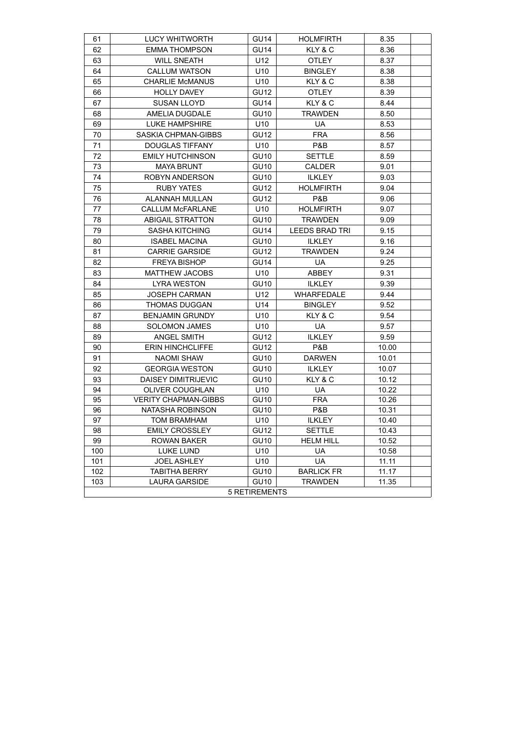| 61  | LUCY WHITWORTH              | GU14             | <b>HOLMFIRTH</b>  | 8.35  |  |  |  |
|-----|-----------------------------|------------------|-------------------|-------|--|--|--|
| 62  | <b>EMMA THOMPSON</b>        | <b>GU14</b>      | KLY & C           | 8.36  |  |  |  |
| 63  | <b>WILL SNEATH</b>          | U12              | <b>OTLEY</b>      | 8.37  |  |  |  |
| 64  | <b>CALLUM WATSON</b>        | U10              | <b>BINGLEY</b>    | 8.38  |  |  |  |
| 65  | <b>CHARLIE McMANUS</b>      | U10              | KLY & C           | 8.38  |  |  |  |
| 66  | <b>HOLLY DAVEY</b>          | <b>GU12</b>      | <b>OTLEY</b>      | 8.39  |  |  |  |
| 67  | <b>SUSAN LLOYD</b>          | <b>GU14</b>      | KLY & C           | 8.44  |  |  |  |
| 68  | AMELIA DUGDALE              | <b>GU10</b>      | <b>TRAWDEN</b>    | 8.50  |  |  |  |
| 69  | <b>LUKE HAMPSHIRE</b>       | U10              | UA                | 8.53  |  |  |  |
| 70  | <b>SASKIA CHPMAN-GIBBS</b>  | <b>GU12</b>      | <b>FRA</b>        | 8.56  |  |  |  |
| 71  | <b>DOUGLAS TIFFANY</b>      | U10              | P&B               | 8.57  |  |  |  |
| 72  | <b>EMILY HUTCHINSON</b>     | GU10             | <b>SETTLE</b>     | 8.59  |  |  |  |
| 73  | <b>MAYA BRUNT</b>           | GU <sub>10</sub> | CALDER            | 9.01  |  |  |  |
| 74  | ROBYN ANDERSON              | <b>GU10</b>      | ILKLEY            | 9.03  |  |  |  |
| 75  | <b>RUBY YATES</b>           | <b>GU12</b>      | <b>HOLMFIRTH</b>  | 9.04  |  |  |  |
| 76  | ALANNAH MULLAN              | <b>GU12</b>      | P&B               | 9.06  |  |  |  |
| 77  | <b>CALLUM McFARLANE</b>     | U10              | <b>HOLMFIRTH</b>  | 9.07  |  |  |  |
| 78  | <b>ABIGAIL STRATTON</b>     | <b>GU10</b>      | <b>TRAWDEN</b>    | 9.09  |  |  |  |
| 79  | SASHA KITCHING              | <b>GU14</b>      | LEEDS BRAD TRI    | 9.15  |  |  |  |
| 80  | <b>ISABEL MACINA</b>        | <b>GU10</b>      | <b>ILKLEY</b>     | 9.16  |  |  |  |
| 81  | <b>CARRIE GARSIDE</b>       | <b>GU12</b>      | <b>TRAWDEN</b>    | 9.24  |  |  |  |
| 82  | <b>FREYA BISHOP</b>         | GU <sub>14</sub> | UA                | 9.25  |  |  |  |
| 83  | MATTHEW JACOBS              | U10              | ABBEY             | 9.31  |  |  |  |
| 84  | LYRA WESTON                 | GU10             | <b>ILKLEY</b>     | 9.39  |  |  |  |
| 85  | <b>JOSEPH CARMAN</b>        | U12              | WHARFEDALE        | 9.44  |  |  |  |
| 86  | THOMAS DUGGAN               | U14              | <b>BINGLEY</b>    | 9.52  |  |  |  |
| 87  | <b>BENJAMIN GRUNDY</b>      | U10              | KLY & C           | 9.54  |  |  |  |
| 88  | <b>SOLOMON JAMES</b>        | U10              | UA                | 9.57  |  |  |  |
| 89  | <b>ANGEL SMITH</b>          | <b>GU12</b>      | <b>ILKLEY</b>     | 9.59  |  |  |  |
| 90  | <b>ERIN HINCHCLIFFE</b>     | <b>GU12</b>      | P&B               | 10.00 |  |  |  |
| 91  | <b>NAOMI SHAW</b>           | <b>GU10</b>      | <b>DARWEN</b>     | 10.01 |  |  |  |
| 92  | <b>GEORGIA WESTON</b>       | <b>GU10</b>      | <b>ILKLEY</b>     | 10.07 |  |  |  |
| 93  | <b>DAISEY DIMITRIJEVIC</b>  | <b>GU10</b>      | KLY & C           | 10.12 |  |  |  |
| 94  | <b>OLIVER COUGHLAN</b>      | U10              | UA                | 10.22 |  |  |  |
| 95  | <b>VERITY CHAPMAN-GIBBS</b> | <b>GU10</b>      | <b>FRA</b>        | 10.26 |  |  |  |
| 96  | NATASHA ROBINSON            | <b>GU10</b>      | P&B               | 10.31 |  |  |  |
| 97  | TOM BRAMHAM                 | U <sub>10</sub>  | <b>ILKLEY</b>     | 10.40 |  |  |  |
| 98  | <b>EMILY CROSSLEY</b>       | <b>GU12</b>      | <b>SETTLE</b>     | 10.43 |  |  |  |
| 99  | ROWAN BAKER                 | <b>GU10</b>      | <b>HELM HILL</b>  | 10.52 |  |  |  |
| 100 | LUKE LUND                   | U10              | UA                | 10.58 |  |  |  |
| 101 | <b>JOEL ASHLEY</b>          | U10              | UA                | 11.11 |  |  |  |
| 102 | <b>TABITHA BERRY</b>        | <b>GU10</b>      | <b>BARLICK FR</b> | 11.17 |  |  |  |
| 103 | LAURA GARSIDE               | <b>GU10</b>      | <b>TRAWDEN</b>    | 11.35 |  |  |  |
|     | <b>5 RETIREMENTS</b>        |                  |                   |       |  |  |  |